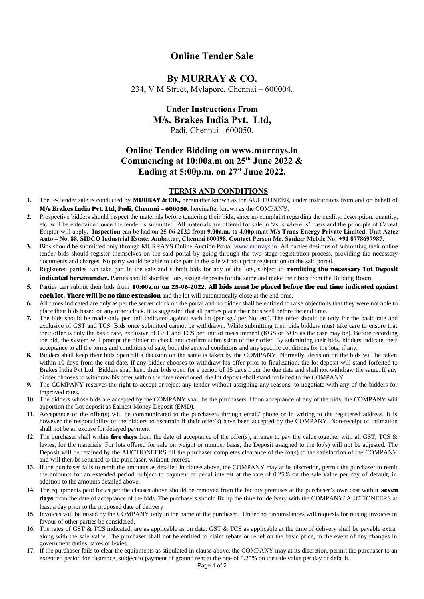### **Online Tender Sale**

# **By MURRAY & CO.**

234, V M Street, Mylapore, Chennai – 600004.

### **Under Instructions From M/s. Brakes India Pvt. Ltd,**  Padi, Chennai - 600050.

## **Online Tender Bidding on www.murrays.in Commencing at 10:00a.m on 25th June 2022 & Ending at 5:00p.m. on 27st June 2022.**

#### **TERMS AND CONDITIONS**

- 1. The e-Tender sale is conducted by **MURRAY & CO.**, hereinafter known as the AUCTIONEER, under instructions from and on behalf of M/s Brakes India Pvt. Ltd, Padi, Chennai – 600050. hereinafter known as the COMPANY.
- **2.** Prospective bidders should inspect the materials before tendering their bids**,** since no complaint regarding the quality, description, quantity, etc. will be entertained once the tender is submitted. All materials are offered for sale in 'as is where is' basis and the principle of Caveat Emptor will apply. **Inspection** can be had on **25-06-2022 from 9.00a.m. to 4.00p.m.at M/s Trans Energy Private Limited**. **Unit Aztec Auto – No. 88, SIDCO Industrial Estate, Ambattur, Chennai 600098. Contact Person Mr. Sankar Mobile No: +91 8778697987.**
- **3.** Bids should be submitted only through MURRAYS Online Auction Portal [www.murrays.in](http://www.murrays.in/). All parties desirous of submitting their online tender bids should register themselves on the said portal by going through the two stage registration process, providing the necessary documents and charges. No party would be able to take part in the sale without prior registration on the said portal.
- **4.** Registered parties can take part in the sale and submit bids for any of the lots, subject to remitting the necessary Lot Deposit indicated hereinunder. Parties should shortlist lots, assign deposits for the same and make their bids from the Bidding Room.
- **5.** Parties can submit their bids from 10:00a.m on 25-06-2022. All bids must be placed before the end time indicated against **each lot. There will be no time extension** and the lot will automatically close at the end time.
- **6.** All times indicated are only as per the server clock on the portal and no bidder shall be entitled to raise objections that they were not able to place their bids based on any other clock. It is suggested that all parties place their bids well before the end time.
- **7.** The bids should be made only per unit indicated against each lot (per kg./ per No. etc). The offer should be only for the basic rate and exclusive of GST and TCS. Bids once submitted cannot be withdrawn. While submitting their bids bidders must take care to ensure that their offer is only the basic rate, exclusive of GST and TCS per unit of measurement (KGS or NOS as the case may be). Before recording the bid, the system will prompt the bidder to check and confirm submission of their offer. By submitting their bids, bidders indicate their acceptance to all the terms and conditions of sale, both the general conditions and any specific conditions for the lots, if any.
- **8.** Bidders shall keep their bids open till a decision on the same is taken by the COMPANY. Normally, decision on the bids will be taken within 10 days from the end date. If any bidder chooses to withdraw his offer prior to finalization, the lot deposit will stand forfeited to Brakes India Pvt Ltd. Bidders shall keep their bids open for a period of 15 days from the due date and shall not withdraw the same. If any bidder chooses to withdraw his offer within the time mentioned, the lot deposit shall stand forfeited to the COMPANY
- **9.** The COMPANY reserves the right to accept or reject any tender without assigning any reasons, to negotiate with any of the bidders for improved rates.
- **10.** The bidders whose bids are accepted by the COMPANY shall be the purchasers. Upon acceptance of any of the bids, the COMPANY will apportion the Lot deposit as Earnest Money Deposit (EMD).
- **11.** Acceptance of the offer(s) will be communicated to the purchasers through email/ phone or in writing to the registered address. It is however the responsibility of the bidders to ascertain if their offer(s) have been accepted by the COMPANY. Non-receipt of intimation shall not be an excuse for delayed payment
- **12.** The purchaser shall within **five days** from the date of acceptance of the offer(s), arrange to pay the value together with all GST, TCS & levies, for the materials. For lots offered for sale on weight or number basis, the Deposit assigned to the lot(s) will not be adjusted. The Deposit will be retained by the AUCTIONEERS till the purchaser completes clearance of the lot(s) to the satisfaction of the COMPANY and will then be returned to the purchaser, without interest.
- **13.** If the purchaser fails to remit the amounts as detailed in clause above, the COMPANY may at its discretion, permit the purchaser to remit the amounts for an extended period, subject to payment of penal interest at the rate of 0.25% on the sale value per day of default, in addition to the amounts detailed above.
- 14. The equipments paid for as per the clauses above should be removed from the factory premises at the purchaser's own cost within **seven** days from the date of acceptance of the bids. The purchasers should fix up the time for delivery with the COMPANY/ AUCTIONEERS at least a day prior to the proposed date of delivery
- **15.** Invoices will be raised by the COMPANY only in the name of the purchaser. Under no circumstances will requests for raising invoices in favour of other parties be considered.
- **16.** The rates of GST & TCS indicated, are as applicable as on date. GST & TCS as applicable at the time of delivery shall be payable extra, along with the sale value. The purchaser shall not be entitled to claim rebate or relief on the basic price, in the event of any changes in government duties, taxes or levies.
- **17.** If the purchaser fails to clear the equipments as stipulated in clause above, the COMPANY may at its discretion, permit the purchaser to an extended period for clearance, subject to payment of ground rent at the rate of 0.25% on the sale value per day of default.